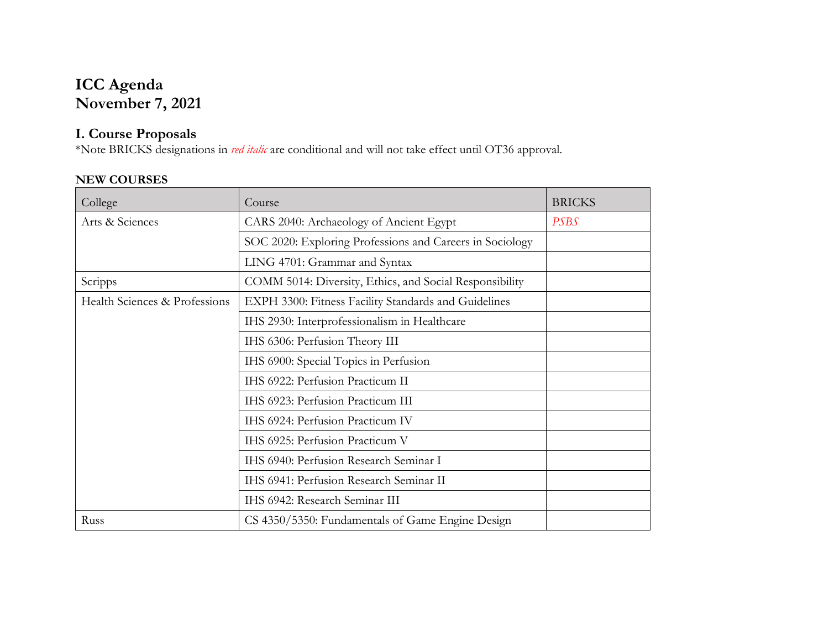# **ICC Agenda November 7, 2021**

## **I. Course Proposals**

\*Note BRICKS designations in *red italic* are conditional and will not take effect until OT36 approval.

### **NEW COURSES**

| College                       | Course                                                   | <b>BRICKS</b> |  |  |
|-------------------------------|----------------------------------------------------------|---------------|--|--|
| Arts & Sciences               | CARS 2040: Archaeology of Ancient Egypt                  | <b>PSBS</b>   |  |  |
|                               | SOC 2020: Exploring Professions and Careers in Sociology |               |  |  |
|                               | LING 4701: Grammar and Syntax                            |               |  |  |
| Scripps                       | COMM 5014: Diversity, Ethics, and Social Responsibility  |               |  |  |
| Health Sciences & Professions | EXPH 3300: Fitness Facility Standards and Guidelines     |               |  |  |
|                               | IHS 2930: Interprofessionalism in Healthcare             |               |  |  |
|                               | IHS 6306: Perfusion Theory III                           |               |  |  |
|                               | IHS 6900: Special Topics in Perfusion                    |               |  |  |
|                               | IHS 6922: Perfusion Practicum II                         |               |  |  |
|                               | IHS 6923: Perfusion Practicum III                        |               |  |  |
|                               | IHS 6924: Perfusion Practicum IV                         |               |  |  |
|                               | IHS 6925: Perfusion Practicum V                          |               |  |  |
|                               | IHS 6940: Perfusion Research Seminar I                   |               |  |  |
|                               | IHS 6941: Perfusion Research Seminar II                  |               |  |  |
|                               | IHS 6942: Research Seminar III                           |               |  |  |
| Russ                          | CS 4350/5350: Fundamentals of Game Engine Design         |               |  |  |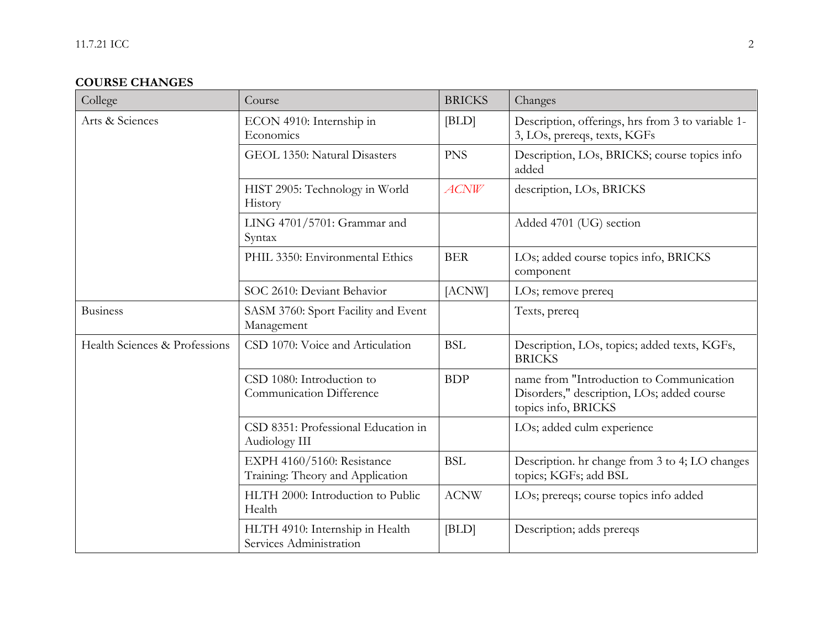## **COURSE CHANGES**

| College                       | Course                                                         | <b>BRICKS</b> | Changes                                                                                                       |
|-------------------------------|----------------------------------------------------------------|---------------|---------------------------------------------------------------------------------------------------------------|
| Arts & Sciences               | ECON 4910: Internship in<br>Economics                          | BLD           | Description, offerings, hrs from 3 to variable 1-<br>3, LOs, prereqs, texts, KGFs                             |
|                               | GEOL 1350: Natural Disasters                                   | <b>PNS</b>    | Description, LOs, BRICKS; course topics info<br>added                                                         |
|                               | HIST 2905: Technology in World<br>History                      | ACNW          | description, LOs, BRICKS                                                                                      |
|                               | LING 4701/5701: Grammar and<br>Syntax                          |               | Added 4701 (UG) section                                                                                       |
|                               | PHIL 3350: Environmental Ethics                                | <b>BER</b>    | LOs; added course topics info, BRICKS<br>component                                                            |
|                               | SOC 2610: Deviant Behavior                                     | [ACNW]        | LOs; remove prereq                                                                                            |
| <b>Business</b>               | SASM 3760: Sport Facility and Event<br>Management              |               | Texts, prereq                                                                                                 |
| Health Sciences & Professions | CSD 1070: Voice and Articulation                               | <b>BSL</b>    | Description, LOs, topics; added texts, KGFs,<br><b>BRICKS</b>                                                 |
|                               | CSD 1080: Introduction to<br><b>Communication Difference</b>   | <b>BDP</b>    | name from "Introduction to Communication<br>Disorders," description, LOs; added course<br>topics info, BRICKS |
|                               | CSD 8351: Professional Education in<br>Audiology III           |               | LOs; added culm experience                                                                                    |
|                               | EXPH 4160/5160: Resistance<br>Training: Theory and Application | <b>BSL</b>    | Description. hr change from 3 to 4; LO changes<br>topics; KGFs; add BSL                                       |
|                               | HLTH 2000: Introduction to Public<br>Health                    | <b>ACNW</b>   | LOs; prereqs; course topics info added                                                                        |
|                               | HLTH 4910: Internship in Health<br>Services Administration     | BLD           | Description; adds prereqs                                                                                     |